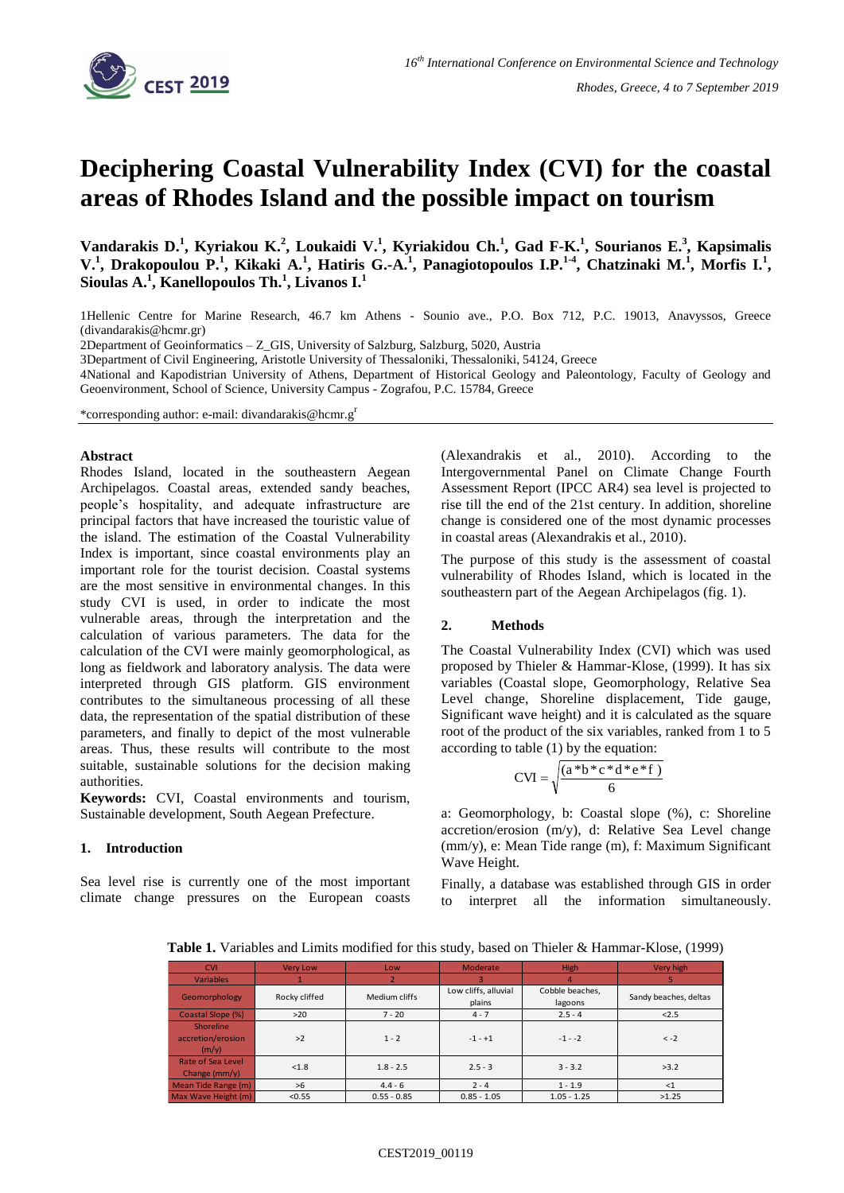

# **Deciphering Coastal Vulnerability Index (CVI) for the coastal areas of Rhodes Island and the possible impact on tourism**

**Vandarakis D.<sup>1</sup> , Kyriakou K.<sup>2</sup> , Loukaidi V.<sup>1</sup> , Kyriakidou Ch.<sup>1</sup> , Gad F-K.<sup>1</sup> , Sourianos E.<sup>3</sup> , Kapsimalis**  V.<sup>1</sup>, Drakopoulou P.<sup>1</sup>, Kikaki A.<sup>1</sup>, Hatiris G.-A.<sup>1</sup>, Panagiotopoulos I.P.<sup>1-4</sup>, Chatzinaki M.<sup>1</sup>, Morfis I.<sup>1</sup>, **Sioulas A.<sup>1</sup> , Kanellopoulos Th.<sup>1</sup> , Livanos I.<sup>1</sup>**

1Hellenic Centre for Marine Research, 46.7 km Athens - Sounio ave., P.O. Box 712, P.C. 19013, Anavyssos, Greece (divandarakis@hcmr.gr)

2Department of Geoinformatics – Z\_GIS, University of Salzburg, Salzburg, 5020, Austria

3Department of Civil Engineering, Aristotle University of Thessaloniki, Thessaloniki, 54124, Greece

4National and Kapodistrian University of Athens, Department of Historical Geology and Paleontology, Faculty of Geology and Geoenvironment, School of Science, University Campus - Zografou, P.C. 15784, Greece

\*corresponding author: e-mail: divandarakis@hcmr.g<sup>r</sup>

### **Abstract**

Rhodes Island, located in the southeastern Aegean Archipelagos. Coastal areas, extended sandy beaches, people's hospitality, and adequate infrastructure are principal factors that have increased the touristic value of the island. The estimation of the Coastal Vulnerability Index is important, since coastal environments play an important role for the tourist decision. Coastal systems are the most sensitive in environmental changes. In this study CVI is used, in order to indicate the most vulnerable areas, through the interpretation and the calculation of various parameters. The data for the calculation of the CVI were mainly geomorphological, as long as fieldwork and laboratory analysis. The data were interpreted through GIS platform. GIS environment contributes to the simultaneous processing of all these data, the representation of the spatial distribution of these parameters, and finally to depict of the most vulnerable areas. Thus, these results will contribute to the most suitable, sustainable solutions for the decision making authorities.

**Keywords:** CVI, Coastal environments and tourism, Sustainable development, South Aegean Prefecture.

### **1. Introduction**

Sea level rise is currently one of the most important climate change pressures on the European coasts (Alexandrakis et al., 2010). According to the Intergovernmental Panel on Climate Change Fourth Assessment Report (IPCC AR4) sea level is projected to rise till the end of the 21st century. In addition, shoreline change is considered one of the most dynamic processes in coastal areas (Alexandrakis et al., 2010).

The purpose of this study is the assessment of coastal vulnerability of Rhodes Island, which is located in the southeastern part of the Aegean Archipelagos (fig. 1).

# **2. Methods**

The Coastal Vulnerability Index (CVI) which was used proposed by Thieler & Hammar-Klose, (1999). It has six variables (Coastal slope, Geomorphology, Relative Sea Level change, Shoreline displacement, Tide gauge, Significant wave height) and it is calculated as the square root of the product of the six variables, ranked from 1 to 5 according to table (1) by the equation:

$$
CVI = \sqrt{\frac{(a * b * c * d * e * f)}{6}}
$$

a: Geomorphology, b: Coastal slope (%), c: Shoreline accretion/erosion (m/y), d: Relative Sea Level change (mm/y), e: Mean Tide range (m), f: Maximum Significant Wave Height.

Finally, a database was established through GIS in order to interpret all the information simultaneously.

 **Table 1.** Variables and Limits modified for this study, based on Thieler & Hammar-Klose, (1999)

| <b>CVI</b>                                     | <b>Very Low</b> | Low           | Moderate                       | High                       | Very high             |
|------------------------------------------------|-----------------|---------------|--------------------------------|----------------------------|-----------------------|
| <b>Variables</b>                               |                 |               |                                |                            |                       |
| Geomorphology                                  | Rocky cliffed   | Medium cliffs | Low cliffs, alluvial<br>plains | Cobble beaches,<br>lagoons | Sandy beaches, deltas |
| Coastal Slope (%)                              | $>20$           | $7 - 20$      | $4 - 7$                        | $2.5 - 4$                  | 2.5                   |
| <b>Shoreline</b><br>accretion/erosion<br>(m/v) | >2              | $1 - 2$       | $-1 - +1$                      | $-1 - -2$                  | $\leq -2$             |
| Rate of Sea Level<br>Change $\frac{mm}{v}$     | < 1.8           | $1.8 - 2.5$   | $2.5 - 3$                      | $3 - 3.2$                  | >3.2                  |
| Mean Tide Range (m)                            | >6              | $4.4 - 6$     | $2 - 4$                        | $1 - 1.9$                  | <1                    |
| Max Wave Height (m)                            | < 0.55          | $0.55 - 0.85$ | $0.85 - 1.05$                  | $1.05 - 1.25$              | >1.25                 |